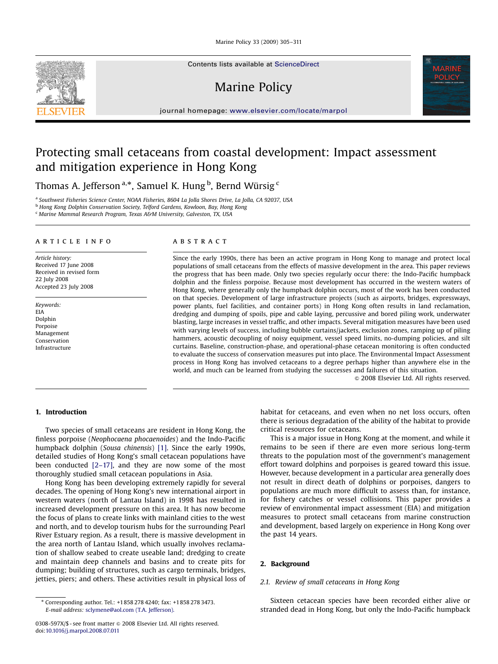Marine Policy 33 (2009) 305–311

Contents lists available at [ScienceDirect](www.sciencedirect.com/science/journal/jmpo)

Marine Policy



journal homepage: <www.elsevier.com/locate/marpol>

# Protecting small cetaceans from coastal development: Impact assessment and mitigation experience in Hong Kong

Thomas A. Jefferson $^{\mathrm{a},\ast}$ , Samuel K. Hung  $^{\mathrm{b}}$ , Bernd Würsig  $^{\mathrm{c}}$ 

<sup>a</sup> Southwest Fisheries Science Center, NOAA Fisheries, 8604 La Jolla Shores Drive, La Jolla, CA 92037, USA

<sup>b</sup> Hong Kong Dolphin Conservation Society, Telford Gardens, Kowloon, Bay, Hong Kong

<sup>c</sup> Marine Mammal Research Program, Texas A&M University, Galveston, TX, USA

## article info

Article history: Received 17 June 2008 Received in revised form 22 July 2008 Accepted 23 July 2008

Keywords: EIA Dolphin Porpoise Management Conservation Infrastructure

#### ABSTRACT

Since the early 1990s, there has been an active program in Hong Kong to manage and protect local populations of small cetaceans from the effects of massive development in the area. This paper reviews the progress that has been made. Only two species regularly occur there: the Indo-Pacific humpback dolphin and the finless porpoise. Because most development has occurred in the western waters of Hong Kong, where generally only the humpback dolphin occurs, most of the work has been conducted on that species. Development of large infrastructure projects (such as airports, bridges, expressways, power plants, fuel facilities, and container ports) in Hong Kong often results in land reclamation, dredging and dumping of spoils, pipe and cable laying, percussive and bored piling work, underwater blasting, large increases in vessel traffic, and other impacts. Several mitigation measures have been used with varying levels of success, including bubble curtains/jackets, exclusion zones, ramping up of piling hammers, acoustic decoupling of noisy equipment, vessel speed limits, no-dumping policies, and silt curtains. Baseline, construction-phase, and operational-phase cetacean monitoring is often conducted to evaluate the success of conservation measures put into place. The Environmental Impact Assessment process in Hong Kong has involved cetaceans to a degree perhaps higher than anywhere else in the world, and much can be learned from studying the successes and failures of this situation.

 $©$  2008 Elsevier Ltd. All rights reserved.

## 1. Introduction

Two species of small cetaceans are resident in Hong Kong, the finless porpoise (Neophocaena phocaenoides) and the Indo-Pacific humpback dolphin (Sousa chinensis) [\[1\].](#page-6-0) Since the early 1990s, detailed studies of Hong Kong's small cetacean populations have been conducted [\[2–17\],](#page-6-0) and they are now some of the most thoroughly studied small cetacean populations in Asia.

Hong Kong has been developing extremely rapidly for several decades. The opening of Hong Kong's new international airport in western waters (north of Lantau Island) in 1998 has resulted in increased development pressure on this area. It has now become the focus of plans to create links with mainland cities to the west and north, and to develop tourism hubs for the surrounding Pearl River Estuary region. As a result, there is massive development in the area north of Lantau Island, which usually involves reclamation of shallow seabed to create useable land; dredging to create and maintain deep channels and basins and to create pits for dumping; building of structures, such as cargo terminals, bridges, jetties, piers; and others. These activities result in physical loss of

habitat for cetaceans, and even when no net loss occurs, often there is serious degradation of the ability of the habitat to provide critical resources for cetaceans.

This is a major issue in Hong Kong at the moment, and while it remains to be seen if there are even more serious long-term threats to the population most of the government's management effort toward dolphins and porpoises is geared toward this issue. However, because development in a particular area generally does not result in direct death of dolphins or porpoises, dangers to populations are much more difficult to assess than, for instance, for fishery catches or vessel collisions. This paper provides a review of environmental impact assessment (EIA) and mitigation measures to protect small cetaceans from marine construction and development, based largely on experience in Hong Kong over the past 14 years.

## 2. Background

# 2.1. Review of small cetaceans in Hong Kong

Sixteen cetacean species have been recorded either alive or stranded dead in Hong Kong, but only the Indo-Pacific humpback

<sup>-</sup> Corresponding author. Tel.: +1858 278 4240; fax: +1858 278 3473. E-mail address: [sclymene@aol.com \(T.A. Jefferson\).](mailto:sclymene@aol.com)

<sup>0308-597</sup>X/\$ - see front matter  $\odot$  2008 Elsevier Ltd. All rights reserved. doi:[10.1016/j.marpol.2008.07.011](dx.doi.org/10.1016/j.marpol.2008.07.011)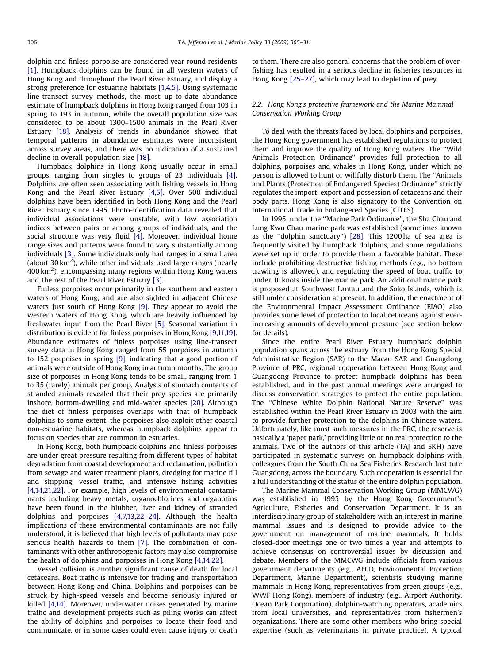dolphin and finless porpoise are considered year-round residents [\[1\].](#page-6-0) Humpback dolphins can be found in all western waters of Hong Kong and throughout the Pearl River Estuary, and display a strong preference for estuarine habitats [\[1,4,5\]](#page-6-0). Using systematic line-transect survey methods, the most up-to-date abundance estimate of humpback dolphins in Hong Kong ranged from 103 in spring to 193 in autumn, while the overall population size was considered to be about 1300–1500 animals in the Pearl River Estuary [\[18\]](#page-6-0). Analysis of trends in abundance showed that temporal patterns in abundance estimates were inconsistent across survey areas, and there was no indication of a sustained decline in overall population size [\[18\].](#page-6-0)

Humpback dolphins in Hong Kong usually occur in small groups, ranging from singles to groups of 23 individuals [\[4\].](#page-6-0) Dolphins are often seen associating with fishing vessels in Hong Kong and the Pearl River Estuary [\[4,5\].](#page-6-0) Over 500 individual dolphins have been identified in both Hong Kong and the Pearl River Estuary since 1995. Photo-identification data revealed that individual associations were unstable, with low association indices between pairs or among groups of individuals, and the social structure was very fluid [\[4\].](#page-6-0) Moreover, individual home range sizes and patterns were found to vary substantially among individuals [\[3\].](#page-6-0) Some individuals only had ranges in a small area (about 30 km<sup>2</sup>), while other individuals used large ranges (nearly 400 km $^2$ ), encompassing many regions within Hong Kong waters and the rest of the Pearl River Estuary [\[3\].](#page-6-0)

Finless porpoises occur primarily in the southern and eastern waters of Hong Kong, and are also sighted in adjacent Chinese waters just south of Hong Kong [\[9\]](#page-6-0). They appear to avoid the western waters of Hong Kong, which are heavily influenced by freshwater input from the Pearl River [\[5\]](#page-6-0). Seasonal variation in distribution is evident for finless porpoises in Hong Kong [\[9,11,19\].](#page-6-0) Abundance estimates of finless porpoises using line-transect survey data in Hong Kong ranged from 55 porpoises in autumn to 152 porpoises in spring [\[9\],](#page-6-0) indicating that a good portion of animals were outside of Hong Kong in autumn months. The group size of porpoises in Hong Kong tends to be small, ranging from 1 to 35 (rarely) animals per group. Analysis of stomach contents of stranded animals revealed that their prey species are primarily inshore, bottom-dwelling and mid-water species [\[20\].](#page-6-0) Although the diet of finless porpoises overlaps with that of humpback dolphins to some extent, the porpoises also exploit other coastal non-estuarine habitats, whereas humpback dolphins appear to focus on species that are common in estuaries.

In Hong Kong, both humpback dolphins and finless porpoises are under great pressure resulting from different types of habitat degradation from coastal development and reclamation, pollution from sewage and water treatment plants, dredging for marine fill and shipping, vessel traffic, and intensive fishing activities [\[4,14,21,22\]](#page-6-0). For example, high levels of environmental contaminants including heavy metals, organochlorines and organotins have been found in the blubber, liver and kidney of stranded dolphins and porpoises [\[4,7,13,22–24\]](#page-6-0). Although the health implications of these environmental contaminants are not fully understood, it is believed that high levels of pollutants may pose serious health hazards to them [\[7\]](#page-6-0). The combination of contaminants with other anthropogenic factors may also compromise the health of dolphins and porpoises in Hong Kong [\[4,14,22\].](#page-6-0)

Vessel collision is another significant cause of death for local cetaceans. Boat traffic is intensive for trading and transportation between Hong Kong and China. Dolphins and porpoises can be struck by high-speed vessels and become seriously injured or killed [\[4,14\].](#page-6-0) Moreover, underwater noises generated by marine traffic and development projects such as piling works can affect the ability of dolphins and porpoises to locate their food and communicate, or in some cases could even cause injury or death to them. There are also general concerns that the problem of overfishing has resulted in a serious decline in fisheries resources in Hong Kong [\[25–27\],](#page-6-0) which may lead to depletion of prey.

## 2.2. Hong Kong's protective framework and the Marine Mammal Conservation Working Group

To deal with the threats faced by local dolphins and porpoises, the Hong Kong government has established regulations to protect them and improve the quality of Hong Kong waters. The ''Wild Animals Protection Ordinance'' provides full protection to all dolphins, porpoises and whales in Hong Kong, under which no person is allowed to hunt or willfully disturb them. The ''Animals and Plants (Protection of Endangered Species) Ordinance'' strictly regulates the import, export and possession of cetaceans and their body parts. Hong Kong is also signatory to the Convention on International Trade in Endangered Species (CITES).

In 1995, under the ''Marine Park Ordinance'', the Sha Chau and Lung Kwu Chau marine park was established (sometimes known as the ''dolphin sanctuary'') [\[28\]](#page-6-0). This 1200 ha of sea area is frequently visited by humpback dolphins, and some regulations were set up in order to provide them a favorable habitat. These include prohibiting destructive fishing methods (e.g., no bottom trawling is allowed), and regulating the speed of boat traffic to under 10 knots inside the marine park. An additional marine park is proposed at Southwest Lantau and the Soko Islands, which is still under consideration at present. In addition, the enactment of the Environmental Impact Assessment Ordinance (EIAO) also provides some level of protection to local cetaceans against everincreasing amounts of development pressure (see section below for details).

Since the entire Pearl River Estuary humpback dolphin population spans across the estuary from the Hong Kong Special Administrative Region (SAR) to the Macau SAR and Guangdong Province of PRC, regional cooperation between Hong Kong and Guangdong Province to protect humpback dolphins has been established, and in the past annual meetings were arranged to discuss conservation strategies to protect the entire population. The ''Chinese White Dolphin National Nature Reserve'' was established within the Pearl River Estuary in 2003 with the aim to provide further protection to the dolphins in Chinese waters. Unfortunately, like most such measures in the PRC, the reserve is basically a 'paper park,' providing little or no real protection to the animals. Two of the authors of this article (TAJ and SKH) have participated in systematic surveys on humpback dolphins with colleagues from the South China Sea Fisheries Research Institute Guangdong, across the boundary. Such cooperation is essential for a full understanding of the status of the entire dolphin population.

The Marine Mammal Conservation Working Group (MMCWG) was established in 1995 by the Hong Kong Government's Agriculture, Fisheries and Conservation Department. It is an interdisciplinary group of stakeholders with an interest in marine mammal issues and is designed to provide advice to the government on management of marine mammals. It holds closed-door meetings one or two times a year and attempts to achieve consensus on controversial issues by discussion and debate. Members of the MMCWG include officials from various government departments (e.g., AFCD, Environmental Protection Department, Marine Department), scientists studying marine mammals in Hong Kong, representatives from green groups (e.g., WWF Hong Kong), members of industry (e.g., Airport Authority, Ocean Park Corporation), dolphin-watching operators, academics from local universities, and representatives from fishermen's organizations. There are some other members who bring special expertise (such as veterinarians in private practice). A typical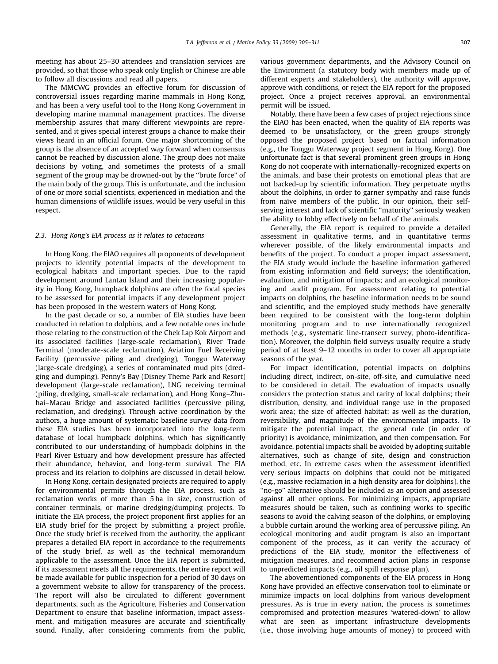meeting has about 25–30 attendees and translation services are provided, so that those who speak only English or Chinese are able to follow all discussions and read all papers.

The MMCWG provides an effective forum for discussion of controversial issues regarding marine mammals in Hong Kong, and has been a very useful tool to the Hong Kong Government in developing marine mammal management practices. The diverse membership assures that many different viewpoints are represented, and it gives special interest groups a chance to make their views heard in an official forum. One major shortcoming of the group is the absence of an accepted way forward when consensus cannot be reached by discussion alone. The group does not make decisions by voting, and sometimes the protests of a small segment of the group may be drowned-out by the ''brute force'' of the main body of the group. This is unfortunate, and the inclusion of one or more social scientists, experienced in mediation and the human dimensions of wildlife issues, would be very useful in this respect.

#### 2.3. Hong Kong's EIA process as it relates to cetaceans

In Hong Kong, the EIAO requires all proponents of development projects to identify potential impacts of the development to ecological habitats and important species. Due to the rapid development around Lantau Island and their increasing popularity in Hong Kong, humpback dolphins are often the focal species to be assessed for potential impacts if any development project has been proposed in the western waters of Hong Kong.

In the past decade or so, a number of EIA studies have been conducted in relation to dolphins, and a few notable ones include those relating to the construction of the Chek Lap Kok Airport and its associated facilities (large-scale reclamation), River Trade Terminal (moderate-scale reclamation), Aviation Fuel Receiving Facility (percussive piling and dredging), Tonggu Waterway (large-scale dredging), a series of contaminated mud pits (dredging and dumping), Penny's Bay (Disney Theme Park and Resort) development (large-scale reclamation), LNG receiving terminal (piling, dredging, small-scale reclamation), and Hong Kong–Zhuhai–Macau Bridge and associated facilities (percussive piling, reclamation, and dredging). Through active coordination by the authors, a huge amount of systematic baseline survey data from these EIA studies has been incorporated into the long-term database of local humpback dolphins, which has significantly contributed to our understanding of humpback dolphins in the Pearl River Estuary and how development pressure has affected their abundance, behavior, and long-term survival. The EIA process and its relation to dolphins are discussed in detail below.

In Hong Kong, certain designated projects are required to apply for environmental permits through the EIA process, such as reclamation works of more than 5 ha in size, construction of container terminals, or marine dredging/dumping projects. To initiate the EIA process, the project proponent first applies for an EIA study brief for the project by submitting a project profile. Once the study brief is received from the authority, the applicant prepares a detailed EIA report in accordance to the requirements of the study brief, as well as the technical memorandum applicable to the assessment. Once the EIA report is submitted, if its assessment meets all the requirements, the entire report will be made available for public inspection for a period of 30 days on a government website to allow for transparency of the process. The report will also be circulated to different government departments, such as the Agriculture, Fisheries and Conservation Department to ensure that baseline information, impact assessment, and mitigation measures are accurate and scientifically sound. Finally, after considering comments from the public,

various government departments, and the Advisory Council on the Environment (a statutory body with members made up of different experts and stakeholders), the authority will approve, approve with conditions, or reject the EIA report for the proposed project. Once a project receives approval, an environmental permit will be issued.

Notably, there have been a few cases of project rejections since the EIAO has been enacted, when the quality of EIA reports was deemed to be unsatisfactory, or the green groups strongly opposed the proposed project based on factual information (e.g., the Tonggu Waterway project segment in Hong Kong). One unfortunate fact is that several prominent green groups in Hong Kong do not cooperate with internationally-recognized experts on the animals, and base their protests on emotional pleas that are not backed-up by scientific information. They perpetuate myths about the dolphins, in order to garner sympathy and raise funds from naïve members of the public. In our opinion, their selfserving interest and lack of scientific ''maturity'' seriously weaken the ability to lobby effectively on behalf of the animals.

Generally, the EIA report is required to provide a detailed assessment in qualitative terms, and in quantitative terms wherever possible, of the likely environmental impacts and benefits of the project. To conduct a proper impact assessment, the EIA study would include the baseline information gathered from existing information and field surveys; the identification, evaluation, and mitigation of impacts; and an ecological monitoring and audit program. For assessment relating to potential impacts on dolphins, the baseline information needs to be sound and scientific, and the employed study methods have generally been required to be consistent with the long-term dolphin monitoring program and to use internationally recognized methods (e.g., systematic line-transect survey, photo-identification). Moreover, the dolphin field surveys usually require a study period of at least 9–12 months in order to cover all appropriate seasons of the year.

For impact identification, potential impacts on dolphins including direct, indirect, on-site, off-site, and cumulative need to be considered in detail. The evaluation of impacts usually considers the protection status and rarity of local dolphins; their distribution, density, and individual range use in the proposed work area; the size of affected habitat; as well as the duration, reversibility, and magnitude of the environmental impacts. To mitigate the potential impact, the general rule (in order of priority) is avoidance, minimization, and then compensation. For avoidance, potential impacts shall be avoided by adopting suitable alternatives, such as change of site, design and construction method, etc. In extreme cases when the assessment identified very serious impacts on dolphins that could not be mitigated (e.g., massive reclamation in a high density area for dolphins), the ''no-go'' alternative should be included as an option and assessed against all other options. For minimizing impacts, appropriate measures should be taken, such as confining works to specific seasons to avoid the calving season of the dolphins, or employing a bubble curtain around the working area of percussive piling. An ecological monitoring and audit program is also an important component of the process, as it can verify the accuracy of predictions of the EIA study, monitor the effectiveness of mitigation measures, and recommend action plans in response to unpredicted impacts (e.g., oil spill response plan).

The abovementioned components of the EIA process in Hong Kong have provided an effective conservation tool to eliminate or minimize impacts on local dolphins from various development pressures. As is true in every nation, the process is sometimes compromised and protection measures 'watered-down' to allow what are seen as important infrastructure developments (i.e., those involving huge amounts of money) to proceed with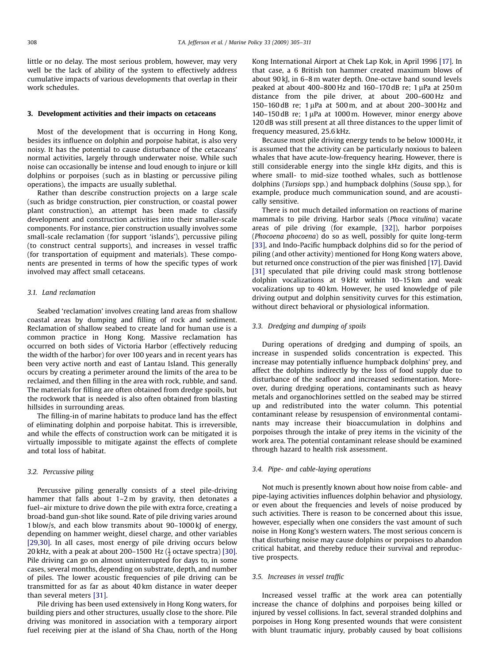little or no delay. The most serious problem, however, may very well be the lack of ability of the system to effectively address cumulative impacts of various developments that overlap in their work schedules.

### 3. Development activities and their impacts on cetaceans

Most of the development that is occurring in Hong Kong, besides its influence on dolphin and porpoise habitat, is also very noisy. It has the potential to cause disturbance of the cetaceans' normal activities, largely through underwater noise. While such noise can occasionally be intense and loud enough to injure or kill dolphins or porpoises (such as in blasting or percussive piling operations), the impacts are usually sublethal.

Rather than describe construction projects on a large scale (such as bridge construction, pier construction, or coastal power plant construction), an attempt has been made to classify development and construction activities into their smaller-scale components. For instance, pier construction usually involves some small-scale reclamation (for support 'islands'), percussive piling (to construct central supports), and increases in vessel traffic (for transportation of equipment and materials). These components are presented in terms of how the specific types of work involved may affect small cetaceans.

## 3.1. Land reclamation

Seabed 'reclamation' involves creating land areas from shallow coastal areas by dumping and filling of rock and sediment. Reclamation of shallow seabed to create land for human use is a common practice in Hong Kong. Massive reclamation has occurred on both sides of Victoria Harbor (effectively reducing the width of the harbor) for over 100 years and in recent years has been very active north and east of Lantau Island. This generally occurs by creating a perimeter around the limits of the area to be reclaimed, and then filling in the area with rock, rubble, and sand. The materials for filling are often obtained from dredge spoils, but the rockwork that is needed is also often obtained from blasting hillsides in surrounding areas.

The filling-in of marine habitats to produce land has the effect of eliminating dolphin and porpoise habitat. This is irreversible, and while the effects of construction work can be mitigated it is virtually impossible to mitigate against the effects of complete and total loss of habitat.

## 3.2. Percussive piling

Percussive piling generally consists of a steel pile-driving hammer that falls about 1-2 m by gravity, then detonates a fuel–air mixture to drive down the pile with extra force, creating a broad-band gun-shot like sound. Rate of pile driving varies around 1 blow/s, and each blow transmits about 90–1000 kJ of energy, depending on hammer weight, diesel charge, and other variables [\[29,30\].](#page-6-0) In all cases, most energy of pile driving occurs below 20 kHz, with a peak at about 200–1500 Hz ( $\frac{1}{3}$ octave spectra) [\[30\].](#page-6-0) Pile driving can go on almost uninterrupted for days to, in some cases, several months, depending on substrate, depth, and number of piles. The lower acoustic frequencies of pile driving can be transmitted for as far as about 40 km distance in water deeper than several meters [\[31\].](#page-6-0)

Pile driving has been used extensively in Hong Kong waters, for building piers and other structures, usually close to the shore. Pile driving was monitored in association with a temporary airport fuel receiving pier at the island of Sha Chau, north of the Hong Kong International Airport at Chek Lap Kok, in April 1996 [\[17\].](#page-6-0) In that case, a 6 British ton hammer created maximum blows of about 90 kJ, in 6–8 m water depth. One-octave band sound levels peaked at about 400-800 Hz and  $160-170$  dB re; 1  $\mu$ Pa at 250 m distance from the pile driver, at about 200–600 Hz and 150–160 dB re;  $1 \mu$ Pa at 500 m, and at about 200–300 Hz and 140–150 dB re;  $1 \mu$ Pa at 1000 m. However, minor energy above 120 dB was still present at all three distances to the upper limit of frequency measured, 25.6 kHz.

Because most pile driving energy tends to be below 1000 Hz, it is assumed that the activity can be particularly noxious to baleen whales that have acute-low-frequency hearing. However, there is still considerable energy into the single kHz digits, and this is where small- to mid-size toothed whales, such as bottlenose dolphins (Tursiops spp.) and humpback dolphins (Sousa spp.), for example, produce much communication sound, and are acoustically sensitive.

There is not much detailed information on reactions of marine mammals to pile driving. Harbor seals (Phoca vitulina) vacate areas of pile driving (for example, [\[32\]\)](#page-6-0), harbor porpoises (Phocoena phocoena) do so as well, possibly for quite long-term [\[33\]](#page-6-0), and Indo-Pacific humpback dolphins did so for the period of piling (and other activity) mentioned for Hong Kong waters above, but returned once construction of the pier was finished [\[17\].](#page-6-0) David [\[31\]](#page-6-0) speculated that pile driving could mask strong bottlenose dolphin vocalizations at 9 kHz within 10–15 km and weak vocalizations up to 40 km. However, he used knowledge of pile driving output and dolphin sensitivity curves for this estimation, without direct behavioral or physiological information.

### 3.3. Dredging and dumping of spoils

During operations of dredging and dumping of spoils, an increase in suspended solids concentration is expected. This increase may potentially influence humpback dolphins' prey, and affect the dolphins indirectly by the loss of food supply due to disturbance of the seafloor and increased sedimentation. Moreover, during dredging operations, contaminants such as heavy metals and organochlorines settled on the seabed may be stirred up and redistributed into the water column. This potential contaminant release by resuspension of environmental contaminants may increase their bioaccumulation in dolphins and porpoises through the intake of prey items in the vicinity of the work area. The potential contaminant release should be examined through hazard to health risk assessment.

#### 3.4. Pipe- and cable-laying operations

Not much is presently known about how noise from cable- and pipe-laying activities influences dolphin behavior and physiology, or even about the frequencies and levels of noise produced by such activities. There is reason to be concerned about this issue, however, especially when one considers the vast amount of such noise in Hong Kong's western waters. The most serious concern is that disturbing noise may cause dolphins or porpoises to abandon critical habitat, and thereby reduce their survival and reproductive prospects.

#### 3.5. Increases in vessel traffic

Increased vessel traffic at the work area can potentially increase the chance of dolphins and porpoises being killed or injured by vessel collisions. In fact, several stranded dolphins and porpoises in Hong Kong presented wounds that were consistent with blunt traumatic injury, probably caused by boat collisions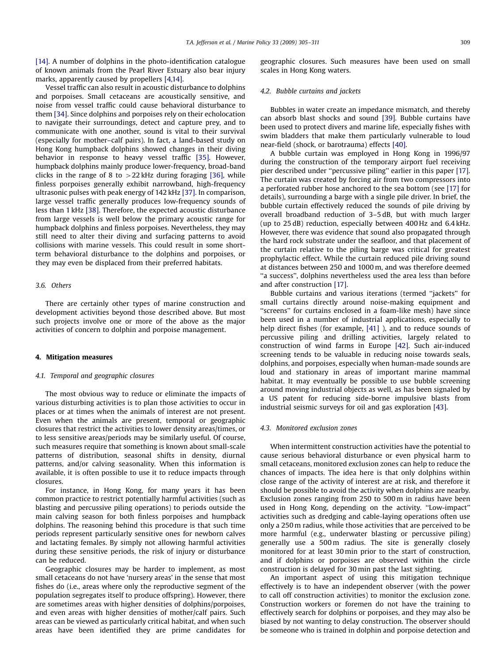[\[14\].](#page-6-0) A number of dolphins in the photo-identification catalogue of known animals from the Pearl River Estuary also bear injury marks, apparently caused by propellers [\[4,14\]](#page-6-0).

Vessel traffic can also result in acoustic disturbance to dolphins and porpoises. Small cetaceans are acoustically sensitive, and noise from vessel traffic could cause behavioral disturbance to them [\[34\]](#page-6-0). Since dolphins and porpoises rely on their echolocation to navigate their surroundings, detect and capture prey, and to communicate with one another, sound is vital to their survival (especially for mother–calf pairs). In fact, a land-based study on Hong Kong humpback dolphins showed changes in their diving behavior in response to heavy vessel traffic [\[35\]](#page-6-0). However, humpback dolphins mainly produce lower-frequency, broad-band clicks in the range of 8 to  $>22$  kHz during foraging [\[36\],](#page-6-0) while finless porpoises generally exhibit narrowband, high-frequency ultrasonic pulses with peak energy of 142 kHz [\[37\]](#page-6-0). In comparison, large vessel traffic generally produces low-frequency sounds of less than 1 kHz [\[38\]](#page-6-0). Therefore, the expected acoustic disturbance from large vessels is well below the primary acoustic range for humpback dolphins and finless porpoises. Nevertheless, they may still need to alter their diving and surfacing patterns to avoid collisions with marine vessels. This could result in some shortterm behavioral disturbance to the dolphins and porpoises, or they may even be displaced from their preferred habitats.

### 3.6. Others

There are certainly other types of marine construction and development activities beyond those described above. But most such projects involve one or more of the above as the major activities of concern to dolphin and porpoise management.

## 4. Mitigation measures

## 4.1. Temporal and geographic closures

The most obvious way to reduce or eliminate the impacts of various disturbing activities is to plan those activities to occur in places or at times when the animals of interest are not present. Even when the animals are present, temporal or geographic closures that restrict the activities to lower density areas/times, or to less sensitive areas/periods may be similarly useful. Of course, such measures require that something is known about small-scale patterns of distribution, seasonal shifts in density, diurnal patterns, and/or calving seasonality. When this information is available, it is often possible to use it to reduce impacts through closures.

For instance, in Hong Kong, for many years it has been common practice to restrict potentially harmful activities (such as blasting and percussive piling operations) to periods outside the main calving season for both finless porpoises and humpback dolphins. The reasoning behind this procedure is that such time periods represent particularly sensitive ones for newborn calves and lactating females. By simply not allowing harmful activities during these sensitive periods, the risk of injury or disturbance can be reduced.

Geographic closures may be harder to implement, as most small cetaceans do not have 'nursery areas' in the sense that most fishes do (i.e., areas where only the reproductive segment of the population segregates itself to produce offspring). However, there are sometimes areas with higher densities of dolphins/porpoises, and even areas with higher densities of mother/calf pairs. Such areas can be viewed as particularly critical habitat, and when such areas have been identified they are prime candidates for

geographic closures. Such measures have been used on small scales in Hong Kong waters.

## 4.2. Bubble curtains and jackets

Bubbles in water create an impedance mismatch, and thereby can absorb blast shocks and sound [\[39\].](#page-6-0) Bubble curtains have been used to protect divers and marine life, especially fishes with swim bladders that make them particularly vulnerable to loud near-field (shock, or barotrauma) effects [\[40\]](#page-6-0).

A bubble curtain was employed in Hong Kong in 1996/97 during the construction of the temporary airport fuel receiving pier described under ''percussive piling'' earlier in this paper [\[17\].](#page-6-0) The curtain was created by forcing air from two compressors into a perforated rubber hose anchored to the sea bottom (see [\[17\]](#page-6-0) for details), surrounding a barge with a single pile driver. In brief, the bubble curtain effectively reduced the sounds of pile driving by overall broadband reduction of 3–5 dB, but with much larger (up to 25 dB) reduction, especially between 400 Hz and 6.4 kHz. However, there was evidence that sound also propagated through the hard rock substrate under the seafloor, and that placement of the curtain relative to the piling barge was critical for greatest prophylactic effect. While the curtain reduced pile driving sound at distances between 250 and 1000 m, and was therefore deemed ''a success'', dolphins nevertheless used the area less than before and after construction [\[17\].](#page-6-0)

Bubble curtains and various iterations (termed ''jackets'' for small curtains directly around noise-making equipment and ''screens'' for curtains enclosed in a foam-like mesh) have since been used in a number of industrial applications, especially to help direct fishes (for example, [\[41\]](#page-6-0) ), and to reduce sounds of percussive piling and drilling activities, largely related to construction of wind farms in Europe [\[42\].](#page-6-0) Such air-induced screening tends to be valuable in reducing noise towards seals, dolphins, and porpoises, especially when human-made sounds are loud and stationary in areas of important marine mammal habitat. It may eventually be possible to use bubble screening around moving industrial objects as well, as has been signaled by a US patent for reducing side-borne impulsive blasts from industrial seismic surveys for oil and gas exploration [\[43\]](#page-6-0).

#### 4.3. Monitored exclusion zones

When intermittent construction activities have the potential to cause serious behavioral disturbance or even physical harm to small cetaceans, monitored exclusion zones can help to reduce the chances of impacts. The idea here is that only dolphins within close range of the activity of interest are at risk, and therefore it should be possible to avoid the activity when dolphins are nearby. Exclusion zones ranging from 250 to 500 m in radius have been used in Hong Kong, depending on the activity. ''Low-impact'' activities such as dredging and cable-laying operations often use only a 250 m radius, while those activities that are perceived to be more harmful (e.g., underwater blasting or percussive piling) generally use a 500 m radius. The site is generally closely monitored for at least 30 min prior to the start of construction, and if dolphins or porpoises are observed within the circle construction is delayed for 30 min past the last sighting.

An important aspect of using this mitigation technique effectively is to have an independent observer (with the power to call off construction activities) to monitor the exclusion zone. Construction workers or foremen do not have the training to effectively search for dolphins or porpoises, and they may also be biased by not wanting to delay construction. The observer should be someone who is trained in dolphin and porpoise detection and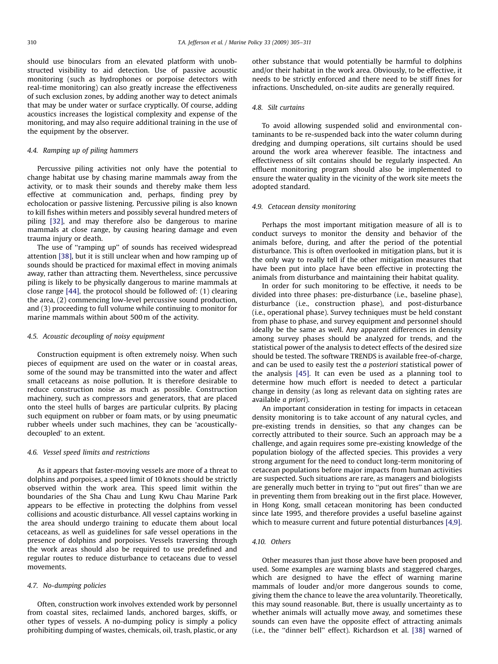should use binoculars from an elevated platform with unobstructed visibility to aid detection. Use of passive acoustic monitoring (such as hydrophones or porpoise detectors with real-time monitoring) can also greatly increase the effectiveness of such exclusion zones, by adding another way to detect animals that may be under water or surface cryptically. Of course, adding acoustics increases the logistical complexity and expense of the monitoring, and may also require additional training in the use of the equipment by the observer.

## 4.4. Ramping up of piling hammers

Percussive piling activities not only have the potential to change habitat use by chasing marine mammals away from the activity, or to mask their sounds and thereby make them less effective at communication and, perhaps, finding prey by echolocation or passive listening. Percussive piling is also known to kill fishes within meters and possibly several hundred meters of piling [\[32\],](#page-6-0) and may therefore also be dangerous to marine mammals at close range, by causing hearing damage and even trauma injury or death.

The use of ''ramping up'' of sounds has received widespread attention [\[38\],](#page-6-0) but it is still unclear when and how ramping up of sounds should be practiced for maximal effect in moving animals away, rather than attracting them. Nevertheless, since percussive piling is likely to be physically dangerous to marine mammals at close range [\[44\],](#page-6-0) the protocol should be followed of: (1) clearing the area, (2) commencing low-level percussive sound production, and (3) proceeding to full volume while continuing to monitor for marine mammals within about 500 m of the activity.

#### 4.5. Acoustic decoupling of noisy equipment

Construction equipment is often extremely noisy. When such pieces of equipment are used on the water or in coastal areas, some of the sound may be transmitted into the water and affect small cetaceans as noise pollution. It is therefore desirable to reduce construction noise as much as possible. Construction machinery, such as compressors and generators, that are placed onto the steel hulls of barges are particular culprits. By placing such equipment on rubber or foam mats, or by using pneumatic rubber wheels under such machines, they can be 'acousticallydecoupled' to an extent.

# 4.6. Vessel speed limits and restrictions

As it appears that faster-moving vessels are more of a threat to dolphins and porpoises, a speed limit of 10 knots should be strictly observed within the work area. This speed limit within the boundaries of the Sha Chau and Lung Kwu Chau Marine Park appears to be effective in protecting the dolphins from vessel collisions and acoustic disturbance. All vessel captains working in the area should undergo training to educate them about local cetaceans, as well as guidelines for safe vessel operations in the presence of dolphins and porpoises. Vessels traversing through the work areas should also be required to use predefined and regular routes to reduce disturbance to cetaceans due to vessel movements.

#### 4.7. No-dumping policies

Often, construction work involves extended work by personnel from coastal sites, reclaimed lands, anchored barges, skiffs, or other types of vessels. A no-dumping policy is simply a policy prohibiting dumping of wastes, chemicals, oil, trash, plastic, or any other substance that would potentially be harmful to dolphins and/or their habitat in the work area. Obviously, to be effective, it needs to be strictly enforced and there need to be stiff fines for infractions. Unscheduled, on-site audits are generally required.

## 4.8. Silt curtains

To avoid allowing suspended solid and environmental contaminants to be re-suspended back into the water column during dredging and dumping operations, silt curtains should be used around the work area wherever feasible. The intactness and effectiveness of silt contains should be regularly inspected. An effluent monitoring program should also be implemented to ensure the water quality in the vicinity of the work site meets the adopted standard.

## 4.9. Cetacean density monitoring

Perhaps the most important mitigation measure of all is to conduct surveys to monitor the density and behavior of the animals before, during, and after the period of the potential disturbance. This is often overlooked in mitigation plans, but it is the only way to really tell if the other mitigation measures that have been put into place have been effective in protecting the animals from disturbance and maintaining their habitat quality.

In order for such monitoring to be effective, it needs to be divided into three phases: pre-disturbance (i.e., baseline phase), disturbance (i.e., construction phase), and post-disturbance (i.e., operational phase). Survey techniques must be held constant from phase to phase, and survey equipment and personnel should ideally be the same as well. Any apparent differences in density among survey phases should be analyzed for trends, and the statistical power of the analysis to detect effects of the desired size should be tested. The software TRENDS is available free-of-charge, and can be used to easily test the a posteriori statistical power of the analysis [\[45\].](#page-6-0) It can even be used as a planning tool to determine how much effort is needed to detect a particular change in density (as long as relevant data on sighting rates are available a priori).

An important consideration in testing for impacts in cetacean density monitoring is to take account of any natural cycles, and pre-existing trends in densities, so that any changes can be correctly attributed to their source. Such an approach may be a challenge, and again requires some pre-existing knowledge of the population biology of the affected species. This provides a very strong argument for the need to conduct long-term monitoring of cetacean populations before major impacts from human activities are suspected. Such situations are rare, as managers and biologists are generally much better in trying to ''put out fires'' than we are in preventing them from breaking out in the first place. However, in Hong Kong, small cetacean monitoring has been conducted since late 1995, and therefore provides a useful baseline against which to measure current and future potential disturbances [\[4,9\].](#page-6-0)

## 4.10. Others

Other measures than just those above have been proposed and used. Some examples are warning blasts and staggered charges, which are designed to have the effect of warning marine mammals of louder and/or more dangerous sounds to come, giving them the chance to leave the area voluntarily. Theoretically, this may sound reasonable. But, there is usually uncertainty as to whether animals will actually move away, and sometimes these sounds can even have the opposite effect of attracting animals (i.e., the ''dinner bell'' effect). Richardson et al. [\[38\]](#page-6-0) warned of